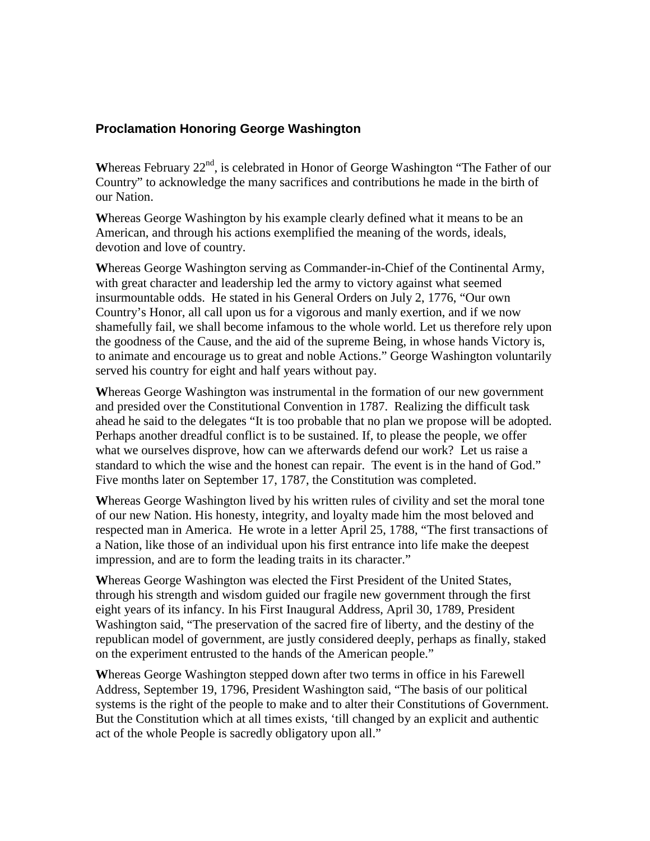## **Proclamation Honoring George Washington**

Whereas February 22<sup>nd</sup>, is celebrated in Honor of George Washington "The Father of our Country" to acknowledge the many sacrifices and contributions he made in the birth of our Nation.

**W**hereas George Washington by his example clearly defined what it means to be an American, and through his actions exemplified the meaning of the words, ideals, devotion and love of country.

**W**hereas George Washington serving as Commander-in-Chief of the Continental Army, with great character and leadership led the army to victory against what seemed insurmountable odds. He stated in his General Orders on July 2, 1776, "Our own Country's Honor, all call upon us for a vigorous and manly exertion, and if we now shamefully fail, we shall become infamous to the whole world. Let us therefore rely upon the goodness of the Cause, and the aid of the supreme Being, in whose hands Victory is, to animate and encourage us to great and noble Actions." George Washington voluntarily served his country for eight and half years without pay.

**W**hereas George Washington was instrumental in the formation of our new government and presided over the Constitutional Convention in 1787. Realizing the difficult task ahead he said to the delegates "It is too probable that no plan we propose will be adopted. Perhaps another dreadful conflict is to be sustained. If, to please the people, we offer what we ourselves disprove, how can we afterwards defend our work? Let us raise a standard to which the wise and the honest can repair. The event is in the hand of God." Five months later on September 17, 1787, the Constitution was completed.

**W**hereas George Washington lived by his written rules of civility and set the moral tone of our new Nation. His honesty, integrity, and loyalty made him the most beloved and respected man in America. He wrote in a letter April 25, 1788, "The first transactions of a Nation, like those of an individual upon his first entrance into life make the deepest impression, and are to form the leading traits in its character."

**W**hereas George Washington was elected the First President of the United States, through his strength and wisdom guided our fragile new government through the first eight years of its infancy. In his First Inaugural Address, April 30, 1789, President Washington said, "The preservation of the sacred fire of liberty, and the destiny of the republican model of government, are justly considered deeply, perhaps as finally, staked on the experiment entrusted to the hands of the American people."

**W**hereas George Washington stepped down after two terms in office in his Farewell Address, September 19, 1796, President Washington said, "The basis of our political systems is the right of the people to make and to alter their Constitutions of Government. But the Constitution which at all times exists, 'till changed by an explicit and authentic act of the whole People is sacredly obligatory upon all."